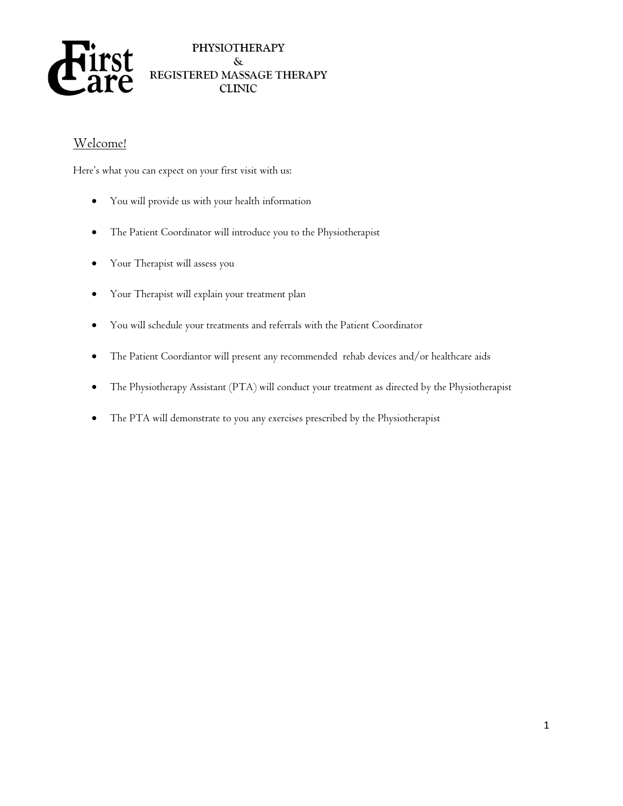

### Welcome!

Here's what you can expect on your first visit with us:

- You will provide us with your health information
- The Patient Coordinator will introduce you to the Physiotherapist
- Your Therapist will assess you
- Your Therapist will explain your treatment plan
- You will schedule your treatments and referrals with the Patient Coordinator
- The Patient Coordiantor will present any recommended rehab devices and/or healthcare aids
- The Physiotherapy Assistant (PTA) will conduct your treatment as directed by the Physiotherapist
- The PTA will demonstrate to you any exercises prescribed by the Physiotherapist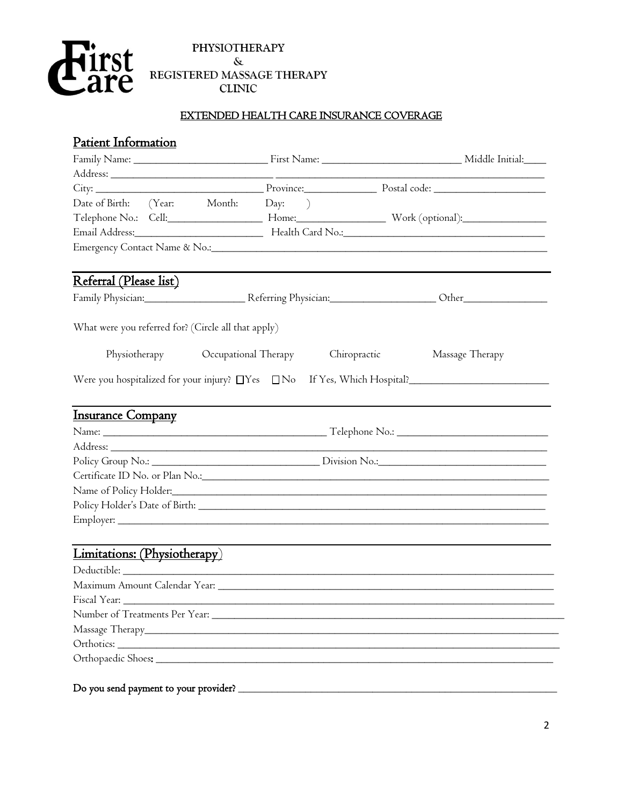

#### EXTENDED HEALTH CARE INSURANCE COVERAGE

### Patient Information

|                                                     |              | City: City: City: City: City: City: City: City: City: City: City: City: City: City: City: City: City: City: City: City: City: City: City: City: City: City: City: City: City: City: City: City: City: City: City: City: City:  |
|-----------------------------------------------------|--------------|--------------------------------------------------------------------------------------------------------------------------------------------------------------------------------------------------------------------------------|
| Date of Birth: (Year: Month: Day: )                 |              |                                                                                                                                                                                                                                |
|                                                     |              | Telephone No.: Cell: ____________________ Home: __________________________ Work (optional): _________________                                                                                                                  |
|                                                     |              |                                                                                                                                                                                                                                |
|                                                     |              |                                                                                                                                                                                                                                |
|                                                     |              |                                                                                                                                                                                                                                |
| Referral (Please list)                              |              |                                                                                                                                                                                                                                |
|                                                     |              | Family Physician: Campbell Referring Physician: Campbell Duranter Communication Communication Communication Co                                                                                                                 |
| What were you referred for? (Circle all that apply) |              |                                                                                                                                                                                                                                |
| Physiotherapy Cccupational Therapy                  | Chiropractic | Massage Therapy                                                                                                                                                                                                                |
|                                                     |              | Were you hospitalized for your injury? $\Box$ Yes $\Box$ No If Yes, Which Hospital?                                                                                                                                            |
|                                                     |              |                                                                                                                                                                                                                                |
| <b>Insurance Company</b>                            |              |                                                                                                                                                                                                                                |
|                                                     |              |                                                                                                                                                                                                                                |
|                                                     |              |                                                                                                                                                                                                                                |
|                                                     |              |                                                                                                                                                                                                                                |
|                                                     |              |                                                                                                                                                                                                                                |
|                                                     |              |                                                                                                                                                                                                                                |
|                                                     |              | Policy Holder's Date of Birth: National According to the Second Second Second Second Second Second Second Second Second Second Second Second Second Second Second Second Second Second Second Second Second Second Second Seco |
|                                                     |              |                                                                                                                                                                                                                                |
| Limitations: (Physiotherapy)                        |              |                                                                                                                                                                                                                                |
|                                                     |              |                                                                                                                                                                                                                                |
|                                                     |              |                                                                                                                                                                                                                                |
|                                                     |              |                                                                                                                                                                                                                                |
|                                                     |              |                                                                                                                                                                                                                                |
|                                                     |              |                                                                                                                                                                                                                                |
|                                                     |              |                                                                                                                                                                                                                                |
|                                                     |              |                                                                                                                                                                                                                                |
|                                                     |              |                                                                                                                                                                                                                                |
| Do you send payment to your provider? _______       |              |                                                                                                                                                                                                                                |